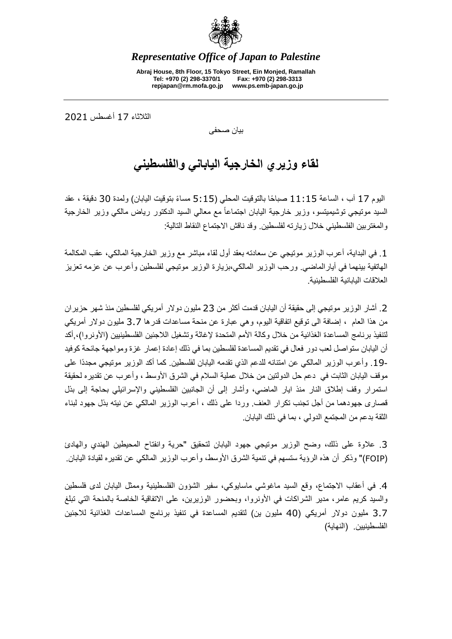

*Representative Office of Japan to Palestine*

**Abraj House, 8th Floor, 15 Tokyo Street, Ein Monjed, Ramallah Tel: +970 (2) 298-3370/1 Fax: +970 (2) 298-3313 repjapan@rm.mofa.go.jp www.ps.emb-japan.go.jp**

الثالثاء 71 أغسطس 0207

بيان صحفى

## **لقاء وزيري الخارجية الياباني والفلسطيني**

اليوم 17 آب ، الساعة 11:15 صباحًا بالتوقيت المحلي (5:15 مساءً بتوقيت اليابان) ولمدة 30 دقيقة ، عقد السيد موتيجي توشيميتسو، وزير خارجية اليابان اجتماعاً مع معالي السيد الدكتور رياض مالكي وزير الخارجية والمغتربين الفلسطيني خالل زيارته لفلسطين. وقد ناقش االجتماع النقاط التالية:

.7 في البداية، أعرب الوزير موتيجي عن سعادته بعقد أول لقاء مباشر مع وزير الخارجية المالكي، عقب المكالمة الهاتفية بينهما في أيارالماضي. ورحب الوزير المالكي،بزيارة الوزير موتيجي لفلسطين وأعرب عن عزمه تعزيز العلاقات البابانية الفلسطينية

.0 أشار الوزير موتيجي إلى حقيقة أن اليابان قدمت أكثر من 00 مليون دوالر أمريكي لفلسطين منذ شهر حزيران من هذا العام ، إضافة الى توقيع اتفاقية اليوم، وهي عبارة عن منحة مساعدات قدرها 0.1 مليون دوالر أمريكي لتنفيذ برنامج المساعدة الغذائية من خلال وكالة الأمم المتحدة لإغاثة وتشغيل اللاجئين الفلسطينيين (الأونروا)، أكد أن اليابان ستواصل لعب دور فعال في تقديم المساعدة لفلسطين بما في ذلك إعادة إعمار غزة ومواجهة جائحة كوفيد .71- وأعرب الوزير المالكي عن امتنانه للدعم الذي تقدمه اليابان لفلسطين. كما أكد الوزير موتيجي مجدًدا على موقف اليابان الثابت في دعم حل الدولتين من خلال عملية السلام في الشرق الأوسط ، وأعرب عن تقديره لحقيقة استمرار وقف إطالق النار منذ ايار الماضي، وأشار إلى أن الجانبين الفلسطيني واإلسرائيلي بحاجة إلى بذل قصارى جهودهما من أجل تجنب تكرار العنف. وردا على ذلك ، أعرب الوزير المالكي عن نيته بذل جهود لبناء الثقة بدعم من المجتمع الدولي ، بما في ذلك اليابان.

.0 عالوة على ذلك، وضح الوزير موتيجي جهود اليابان لتحقيق "حرية وانفتاح المحيطين الهندي والهادئ )FOIP ")وذكر أن هذه الرؤية ستسهم في تنمية الشرق األوسط، وأعرب الوزير المالكي عن تقديره لقيادة اليابان.

.4 في أعقاب االجتماع، وقع السيد ماغوشي ماسايوكي، سفير الشؤون الفلسطينية وممثل اليابان لدى فلسطين والسيد كريم عامر، مدير الشراكات في الأونروا، وبحضور الوزيرين، على الاتفاقية الخاصة بالمنحة التي تبلغ 3.7 مليون دولار أمريكي (40 مليون ين) لتقديم المساعدة في تنفيذ برنامج المساعدات الغذائية للاجئين الفلسطينيين. (النهاية)